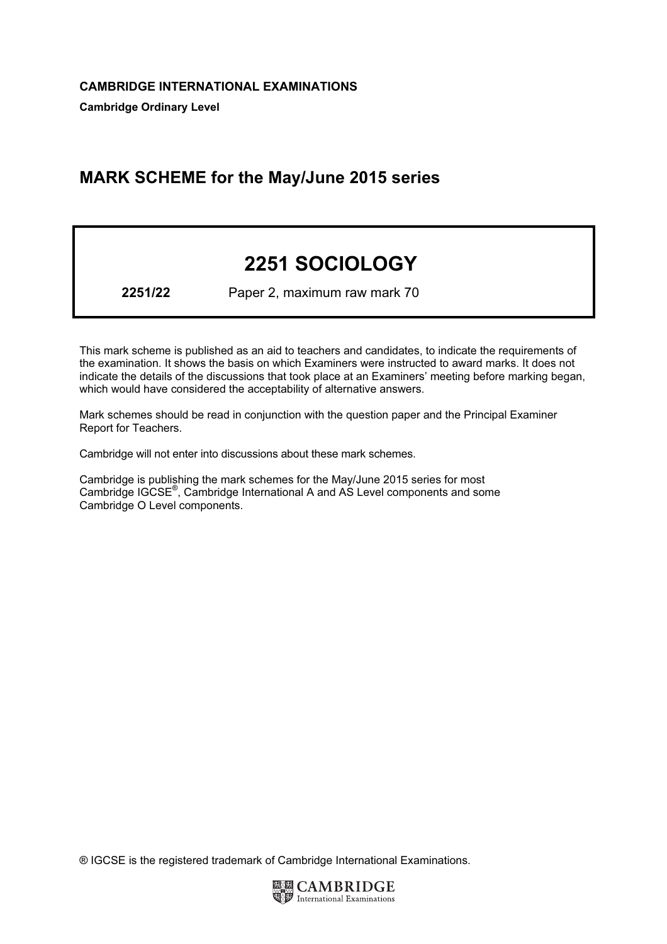## MARK SCHEME for the May/June 2015 series

# 2251 SOCIOLOGY

2251/22 Paper 2, maximum raw mark 70

This mark scheme is published as an aid to teachers and candidates, to indicate the requirements of the examination. It shows the basis on which Examiners were instructed to award marks. It does not indicate the details of the discussions that took place at an Examiners' meeting before marking began, which would have considered the acceptability of alternative answers.

Mark schemes should be read in conjunction with the question paper and the Principal Examiner Report for Teachers.

Cambridge will not enter into discussions about these mark schemes.

Cambridge is publishing the mark schemes for the May/June 2015 series for most Cambridge IGCSE*®* , Cambridge International A and AS Level components and some Cambridge O Level components.

® IGCSE is the registered trademark of Cambridge International Examinations.

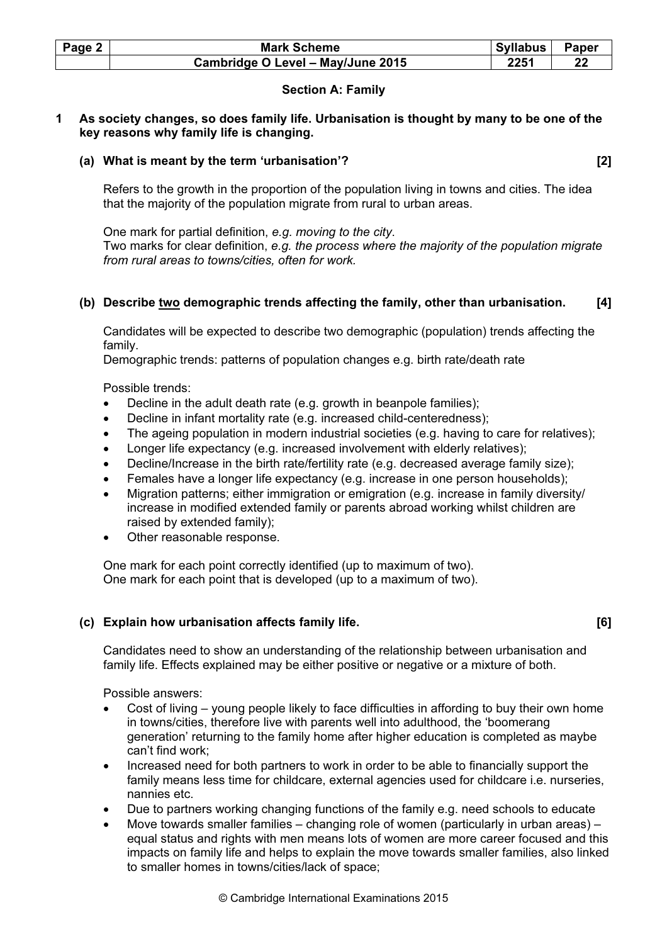| Page 2 | <b>Mark Scheme</b>                | <b>Syllabus</b> | <b>Paper</b> |
|--------|-----------------------------------|-----------------|--------------|
|        | Cambridge O Level - May/June 2015 | 2251            |              |

## Section A: Family

## 1 As society changes, so does family life. Urbanisation is thought by many to be one of the key reasons why family life is changing.

## (a) What is meant by the term 'urbanisation'? [2]

 Refers to the growth in the proportion of the population living in towns and cities. The idea that the majority of the population migrate from rural to urban areas.

 One mark for partial definition, e.g. moving to the city. Two marks for clear definition, e.g. the process where the majority of the population migrate from rural areas to towns/cities, often for work.

## (b) Describe two demographic trends affecting the family, other than urbanisation. [4]

 Candidates will be expected to describe two demographic (population) trends affecting the family.

Demographic trends: patterns of population changes e.g. birth rate/death rate

Possible trends:

- Decline in the adult death rate (e.g. growth in beanpole families);
- Decline in infant mortality rate (e.g. increased child-centeredness);
- The ageing population in modern industrial societies (e.g. having to care for relatives);
- Longer life expectancy (e.g. increased involvement with elderly relatives);
- Decline/Increase in the birth rate/fertility rate (e.g. decreased average family size);
- Females have a longer life expectancy (e.g. increase in one person households);
- Migration patterns; either immigration or emigration (e.g. increase in family diversity/ increase in modified extended family or parents abroad working whilst children are raised by extended family);
- Other reasonable response.

 One mark for each point correctly identified (up to maximum of two). One mark for each point that is developed (up to a maximum of two).

## (c) Explain how urbanisation affects family life.  $\qquad \qquad \text{[6]}$

Candidates need to show an understanding of the relationship between urbanisation and family life. Effects explained may be either positive or negative or a mixture of both.

- Cost of living young people likely to face difficulties in affording to buy their own home in towns/cities, therefore live with parents well into adulthood, the 'boomerang generation' returning to the family home after higher education is completed as maybe can't find work;
- Increased need for both partners to work in order to be able to financially support the family means less time for childcare, external agencies used for childcare i.e. nurseries, nannies etc.
- Due to partners working changing functions of the family e.g. need schools to educate
- Move towards smaller families changing role of women (particularly in urban areas) equal status and rights with men means lots of women are more career focused and this impacts on family life and helps to explain the move towards smaller families, also linked to smaller homes in towns/cities/lack of space;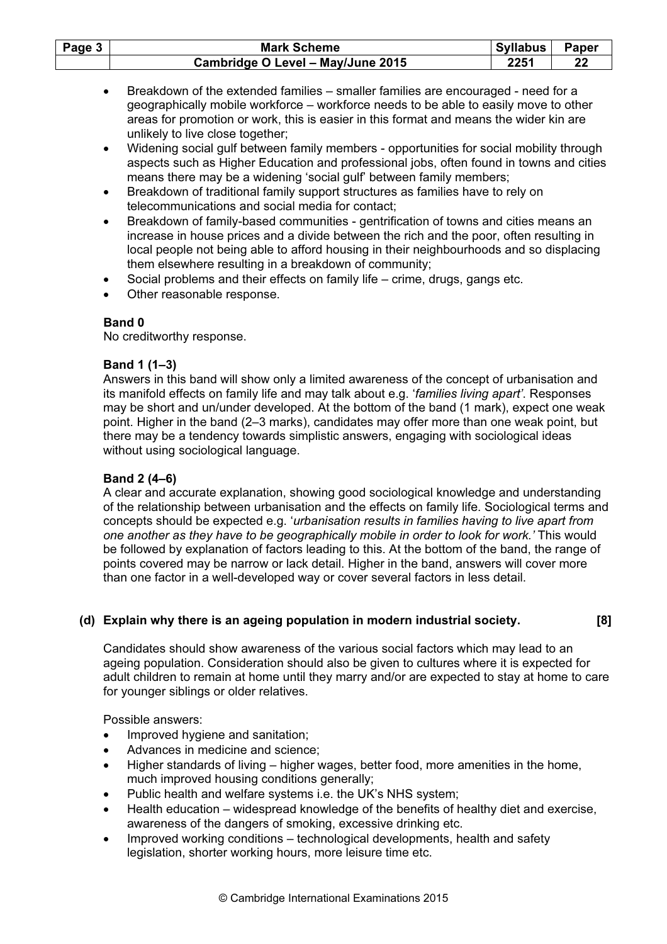| Page 3 | <b>Mark Scheme</b>                | Syllabus | <b>Paper</b> |
|--------|-----------------------------------|----------|--------------|
|        | Cambridge O Level - May/June 2015 | 2251     | 22           |

- Breakdown of the extended families smaller families are encouraged need for a geographically mobile workforce – workforce needs to be able to easily move to other areas for promotion or work, this is easier in this format and means the wider kin are unlikely to live close together;
- Widening social gulf between family members opportunities for social mobility through aspects such as Higher Education and professional jobs, often found in towns and cities means there may be a widening 'social gulf' between family members;
- Breakdown of traditional family support structures as families have to rely on telecommunications and social media for contact;
- Breakdown of family-based communities gentrification of towns and cities means an increase in house prices and a divide between the rich and the poor, often resulting in local people not being able to afford housing in their neighbourhoods and so displacing them elsewhere resulting in a breakdown of community;
- Social problems and their effects on family life crime, drugs, gangs etc.
- Other reasonable response.

No creditworthy response.

## Band 1 (1–3)

Answers in this band will show only a limited awareness of the concept of urbanisation and its manifold effects on family life and may talk about e.g. 'families living apart'. Responses may be short and un/under developed. At the bottom of the band (1 mark), expect one weak point. Higher in the band (2–3 marks), candidates may offer more than one weak point, but there may be a tendency towards simplistic answers, engaging with sociological ideas without using sociological language.

## Band 2 (4–6)

A clear and accurate explanation, showing good sociological knowledge and understanding of the relationship between urbanisation and the effects on family life. Sociological terms and concepts should be expected e.g. 'urbanisation results in families having to live apart from one another as they have to be geographically mobile in order to look for work.' This would be followed by explanation of factors leading to this. At the bottom of the band, the range of points covered may be narrow or lack detail. Higher in the band, answers will cover more than one factor in a well-developed way or cover several factors in less detail.

## (d) Explain why there is an ageing population in modern industrial society. [8]

Candidates should show awareness of the various social factors which may lead to an ageing population. Consideration should also be given to cultures where it is expected for adult children to remain at home until they marry and/or are expected to stay at home to care for younger siblings or older relatives.

- Improved hygiene and sanitation;
- Advances in medicine and science;
- Higher standards of living higher wages, better food, more amenities in the home, much improved housing conditions generally;
- Public health and welfare systems i.e. the UK's NHS system;
- Health education widespread knowledge of the benefits of healthy diet and exercise, awareness of the dangers of smoking, excessive drinking etc.
- Improved working conditions technological developments, health and safety legislation, shorter working hours, more leisure time etc.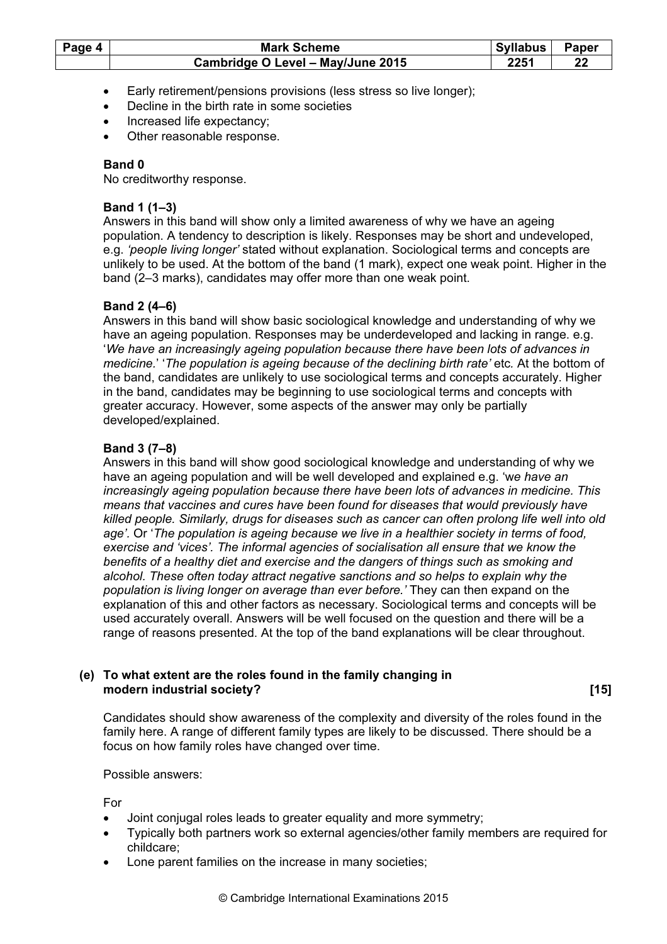| Page 4 | <b>Mark Scheme</b>                | <b>Syllabus</b> | <b>Paper</b> |
|--------|-----------------------------------|-----------------|--------------|
|        | Cambridge O Level - May/June 2015 | 2251            |              |

- Early retirement/pensions provisions (less stress so live longer);
- Decline in the birth rate in some societies
- Increased life expectancy;
- Other reasonable response.

No creditworthy response.

## Band 1 (1–3)

Answers in this band will show only a limited awareness of why we have an ageing population. A tendency to description is likely. Responses may be short and undeveloped, e.g. 'people living longer' stated without explanation. Sociological terms and concepts are unlikely to be used. At the bottom of the band (1 mark), expect one weak point. Higher in the band (2–3 marks), candidates may offer more than one weak point.

## Band 2 (4–6)

Answers in this band will show basic sociological knowledge and understanding of why we have an ageing population. Responses may be underdeveloped and lacking in range. e.g. 'We have an increasingly ageing population because there have been lots of advances in medicine.' 'The population is ageing because of the declining birth rate' etc. At the bottom of the band, candidates are unlikely to use sociological terms and concepts accurately. Higher in the band, candidates may be beginning to use sociological terms and concepts with greater accuracy. However, some aspects of the answer may only be partially developed/explained.

## Band 3 (7–8)

Answers in this band will show good sociological knowledge and understanding of why we have an ageing population and will be well developed and explained e.g. 'we have an increasingly ageing population because there have been lots of advances in medicine. This means that vaccines and cures have been found for diseases that would previously have killed people. Similarly, drugs for diseases such as cancer can often prolong life well into old age'. Or 'The population is ageing because we live in a healthier society in terms of food, exercise and 'vices'. The informal agencies of socialisation all ensure that we know the benefits of a healthy diet and exercise and the dangers of things such as smoking and alcohol. These often today attract negative sanctions and so helps to explain why the population is living longer on average than ever before.' They can then expand on the explanation of this and other factors as necessary. Sociological terms and concepts will be used accurately overall. Answers will be well focused on the question and there will be a range of reasons presented. At the top of the band explanations will be clear throughout.

#### (e) To what extent are the roles found in the family changing in modern industrial society? **Example 20** in the second second second second second second second second second second second second second second second second second second second second second second second second second

Candidates should show awareness of the complexity and diversity of the roles found in the family here. A range of different family types are likely to be discussed. There should be a focus on how family roles have changed over time.

#### Possible answers:

For

- Joint conjugal roles leads to greater equality and more symmetry;
- Typically both partners work so external agencies/other family members are required for childcare;
- Lone parent families on the increase in many societies;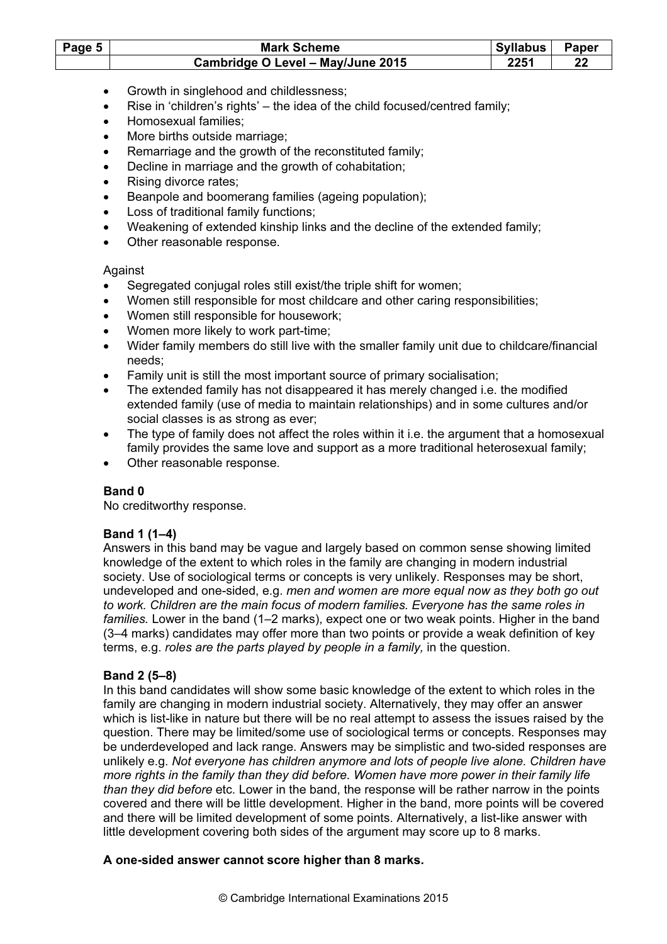| Page 5 | <b>Mark Scheme</b>                | <b>Syllabus</b> | Paper |
|--------|-----------------------------------|-----------------|-------|
|        | Cambridge O Level - May/June 2015 | 2251            |       |

- Growth in singlehood and childlessness;
- Rise in 'children's rights' the idea of the child focused/centred family;
- Homosexual families;
- More births outside marriage;
- Remarriage and the growth of the reconstituted family;
- Decline in marriage and the growth of cohabitation:
- Rising divorce rates:
- Beanpole and boomerang families (ageing population);
- Loss of traditional family functions;
- Weakening of extended kinship links and the decline of the extended family;
- Other reasonable response.

#### Against

- Segregated conjugal roles still exist/the triple shift for women;
- Women still responsible for most childcare and other caring responsibilities;
- Women still responsible for housework;
- Women more likely to work part-time;
- Wider family members do still live with the smaller family unit due to childcare/financial needs;
- Family unit is still the most important source of primary socialisation;
- The extended family has not disappeared it has merely changed i.e. the modified extended family (use of media to maintain relationships) and in some cultures and/or social classes is as strong as ever;
- The type of family does not affect the roles within it i.e. the argument that a homosexual family provides the same love and support as a more traditional heterosexual family;
- Other reasonable response.

## Band 0

No creditworthy response.

## Band 1 (1–4)

Answers in this band may be vague and largely based on common sense showing limited knowledge of the extent to which roles in the family are changing in modern industrial society. Use of sociological terms or concepts is very unlikely. Responses may be short, undeveloped and one-sided, e.g. men and women are more equal now as they both go out to work. Children are the main focus of modern families. Everyone has the same roles in families. Lower in the band (1–2 marks), expect one or two weak points. Higher in the band (3–4 marks) candidates may offer more than two points or provide a weak definition of key terms, e.g. roles are the parts played by people in a family, in the question.

## Band 2 (5–8)

In this band candidates will show some basic knowledge of the extent to which roles in the family are changing in modern industrial society. Alternatively, they may offer an answer which is list-like in nature but there will be no real attempt to assess the issues raised by the question. There may be limited/some use of sociological terms or concepts. Responses may be underdeveloped and lack range. Answers may be simplistic and two-sided responses are unlikely e.g. Not everyone has children anymore and lots of people live alone. Children have more rights in the family than they did before. Women have more power in their family life than they did before etc. Lower in the band, the response will be rather narrow in the points covered and there will be little development. Higher in the band, more points will be covered and there will be limited development of some points. Alternatively, a list-like answer with little development covering both sides of the argument may score up to 8 marks.

#### A one-sided answer cannot score higher than 8 marks.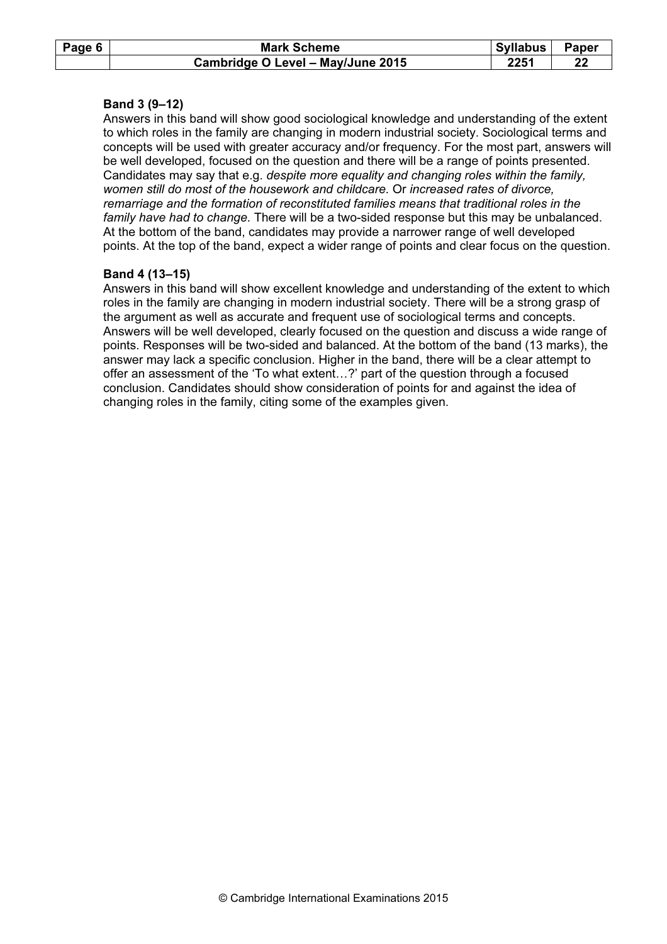| Page 6 | <b>Mark Scheme</b>                | Syllabus | <b>Paper</b> |
|--------|-----------------------------------|----------|--------------|
|        | Cambridge O Level - May/June 2015 | 2251     |              |

#### Band 3 (9–12)

Answers in this band will show good sociological knowledge and understanding of the extent to which roles in the family are changing in modern industrial society. Sociological terms and concepts will be used with greater accuracy and/or frequency. For the most part, answers will be well developed, focused on the question and there will be a range of points presented. Candidates may say that e.g. despite more equality and changing roles within the family, women still do most of the housework and childcare. Or increased rates of divorce, remarriage and the formation of reconstituted families means that traditional roles in the family have had to change. There will be a two-sided response but this may be unbalanced. At the bottom of the band, candidates may provide a narrower range of well developed points. At the top of the band, expect a wider range of points and clear focus on the question.

#### Band 4 (13–15)

Answers in this band will show excellent knowledge and understanding of the extent to which roles in the family are changing in modern industrial society. There will be a strong grasp of the argument as well as accurate and frequent use of sociological terms and concepts. Answers will be well developed, clearly focused on the question and discuss a wide range of points. Responses will be two-sided and balanced. At the bottom of the band (13 marks), the answer may lack a specific conclusion. Higher in the band, there will be a clear attempt to offer an assessment of the 'To what extent…?' part of the question through a focused conclusion. Candidates should show consideration of points for and against the idea of changing roles in the family, citing some of the examples given.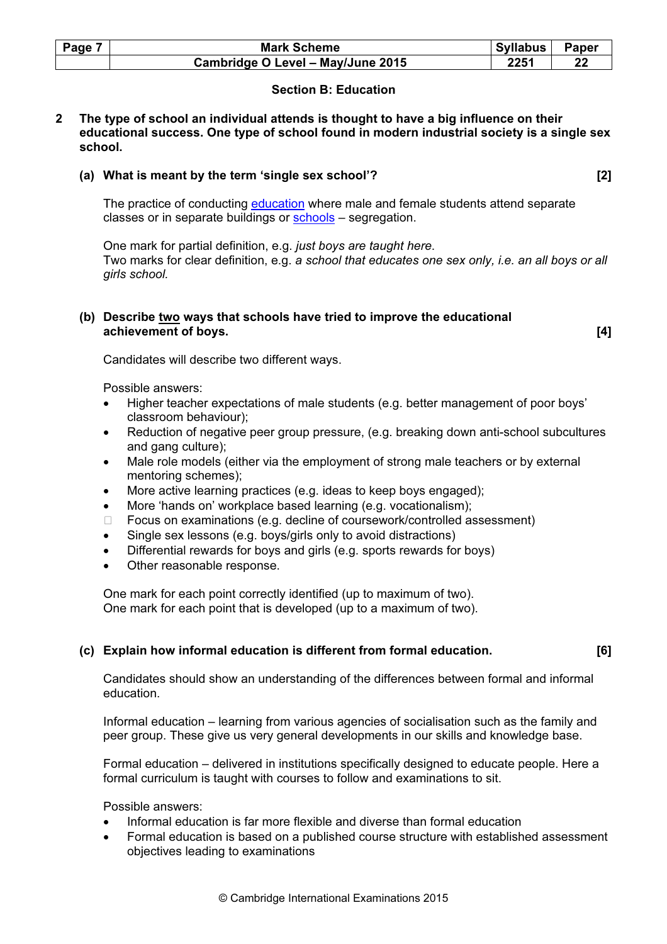| Page 7 | <b>Mark Scheme</b>                | Syllabus | Paper |
|--------|-----------------------------------|----------|-------|
|        | Cambridge O Level - May/June 2015 | 2251     |       |

## Section B: Education

2 The type of school an individual attends is thought to have a big influence on their educational success. One type of school found in modern industrial society is a single sex school.

#### (a) What is meant by the term 'single sex school'? [2]

The practice of conducting education where male and female students attend separate classes or in separate buildings or schools – segregation.

One mark for partial definition, e.g. just boys are taught here. Two marks for clear definition, e.g. a school that educates one sex only, i.e. an all boys or all girls school.

#### (b) Describe two ways that schools have tried to improve the educational achievement of boys. [4]

Candidates will describe two different ways.

Possible answers:

- Higher teacher expectations of male students (e.g. better management of poor boys' classroom behaviour);
- Reduction of negative peer group pressure, (e.g. breaking down anti-school subcultures and gang culture);
- Male role models (either via the employment of strong male teachers or by external mentoring schemes);
- More active learning practices (e.g. ideas to keep boys engaged);
- More 'hands on' workplace based learning (e.g. vocationalism); Focus on examinations (e.g. decline of coursework/controlled assessment)
- Single sex lessons (e.g. boys/girls only to avoid distractions)
- Differential rewards for boys and girls (e.g. sports rewards for boys)
- Other reasonable response.

One mark for each point correctly identified (up to maximum of two). One mark for each point that is developed (up to a maximum of two).

#### (c) Explain how informal education is different from formal education. [6]

Candidates should show an understanding of the differences between formal and informal education.

Informal education – learning from various agencies of socialisation such as the family and peer group. These give us very general developments in our skills and knowledge base.

Formal education – delivered in institutions specifically designed to educate people. Here a formal curriculum is taught with courses to follow and examinations to sit.

- Informal education is far more flexible and diverse than formal education
- Formal education is based on a published course structure with established assessment objectives leading to examinations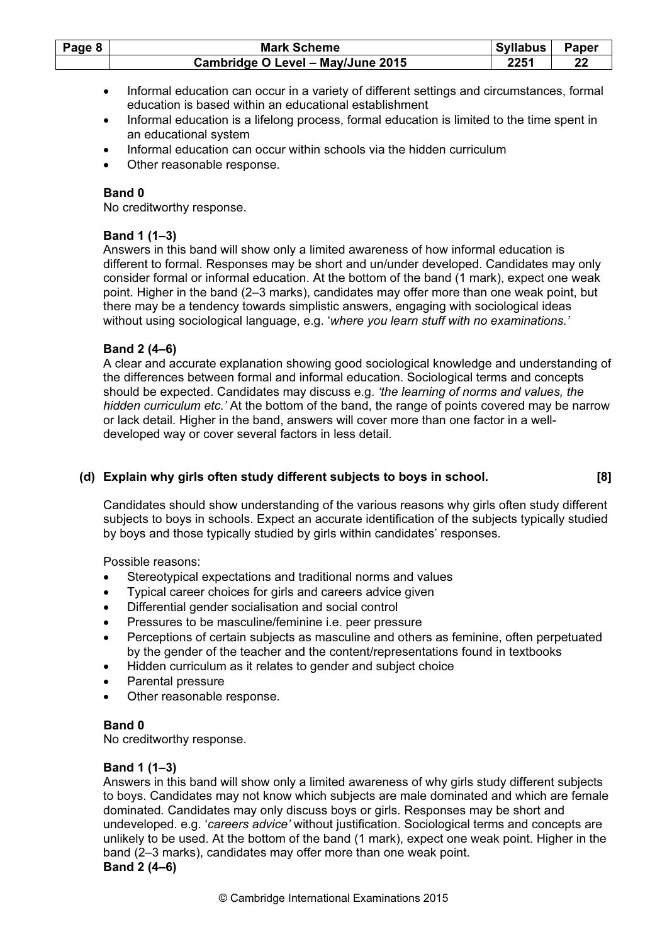| Page 8 | <b>Mark Scheme</b>                | <b>Syllabus</b> | <b>Paper</b> |
|--------|-----------------------------------|-----------------|--------------|
|        | Cambridge O Level - May/June 2015 | 2251            |              |

- Informal education can occur in a variety of different settings and circumstances, formal education is based within an educational establishment
- Informal education is a lifelong process, formal education is limited to the time spent in an educational system
- Informal education can occur within schools via the hidden curriculum
- Other reasonable response.

No creditworthy response.

#### Band 1 (1–3)

Answers in this band will show only a limited awareness of how informal education is different to formal. Responses may be short and un/under developed. Candidates may only consider formal or informal education. At the bottom of the band (1 mark), expect one weak point. Higher in the band (2–3 marks), candidates may offer more than one weak point, but there may be a tendency towards simplistic answers, engaging with sociological ideas without using sociological language, e.g. 'where you learn stuff with no examinations.'

#### Band 2 (4–6)

A clear and accurate explanation showing good sociological knowledge and understanding of the differences between formal and informal education. Sociological terms and concepts should be expected. Candidates may discuss e.g. 'the learning of norms and values, the hidden curriculum etc.' At the bottom of the band, the range of points covered may be narrow or lack detail. Higher in the band, answers will cover more than one factor in a welldeveloped way or cover several factors in less detail.

## (d) Explain why girls often study different subjects to boys in school. [8]

Candidates should show understanding of the various reasons why girls often study different subjects to boys in schools. Expect an accurate identification of the subjects typically studied by boys and those typically studied by girls within candidates' responses.

Possible reasons:

- Stereotypical expectations and traditional norms and values
- Typical career choices for girls and careers advice given
- Differential gender socialisation and social control
- Pressures to be masculine/feminine i.e. peer pressure
- Perceptions of certain subjects as masculine and others as feminine, often perpetuated by the gender of the teacher and the content/representations found in textbooks
- Hidden curriculum as it relates to gender and subject choice
- Parental pressure
- Other reasonable response.

## Band 0

No creditworthy response.

## Band 1 (1–3)

Answers in this band will show only a limited awareness of why girls study different subjects to boys. Candidates may not know which subjects are male dominated and which are female dominated. Candidates may only discuss boys or girls. Responses may be short and undeveloped. e.g. 'careers advice' without justification. Sociological terms and concepts are unlikely to be used. At the bottom of the band (1 mark), expect one weak point. Higher in the band (2–3 marks), candidates may offer more than one weak point. Band 2 (4–6)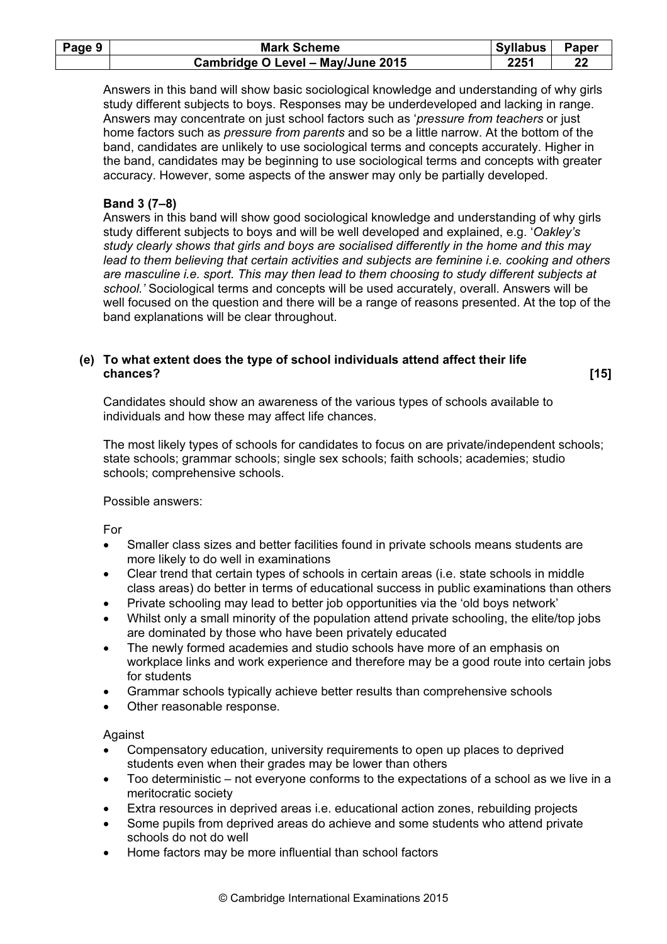| Page 9 | <b>Mark Scheme</b>                | <b>Syllabus</b> | <b>Paper</b> |
|--------|-----------------------------------|-----------------|--------------|
|        | Cambridge O Level - May/June 2015 | 2251            | 22           |

Answers in this band will show basic sociological knowledge and understanding of why girls study different subjects to boys. Responses may be underdeveloped and lacking in range. Answers may concentrate on just school factors such as 'pressure from teachers or just home factors such as *pressure from parents* and so be a little narrow. At the bottom of the band, candidates are unlikely to use sociological terms and concepts accurately. Higher in the band, candidates may be beginning to use sociological terms and concepts with greater accuracy. However, some aspects of the answer may only be partially developed.

## Band 3 (7–8)

Answers in this band will show good sociological knowledge and understanding of why girls study different subjects to boys and will be well developed and explained, e.g. 'Oakley's study clearly shows that girls and boys are socialised differently in the home and this may lead to them believing that certain activities and subjects are feminine i.e. cooking and others are masculine i.e. sport. This may then lead to them choosing to study different subjects at school.' Sociological terms and concepts will be used accurately, overall. Answers will be well focused on the question and there will be a range of reasons presented. At the top of the band explanations will be clear throughout.

## (e) To what extent does the type of school individuals attend affect their life chances? [15]

Candidates should show an awareness of the various types of schools available to individuals and how these may affect life chances.

The most likely types of schools for candidates to focus on are private/independent schools; state schools; grammar schools; single sex schools; faith schools; academies; studio schools; comprehensive schools.

#### Possible answers:

For

- Smaller class sizes and better facilities found in private schools means students are more likely to do well in examinations
- Clear trend that certain types of schools in certain areas (i.e. state schools in middle class areas) do better in terms of educational success in public examinations than others
- Private schooling may lead to better job opportunities via the 'old boys network'
- Whilst only a small minority of the population attend private schooling, the elite/top jobs are dominated by those who have been privately educated
- The newly formed academies and studio schools have more of an emphasis on workplace links and work experience and therefore may be a good route into certain jobs for students
- Grammar schools typically achieve better results than comprehensive schools
- Other reasonable response.

Against

- Compensatory education, university requirements to open up places to deprived students even when their grades may be lower than others
- Too deterministic not everyone conforms to the expectations of a school as we live in a meritocratic society
- Extra resources in deprived areas i.e. educational action zones, rebuilding projects
- Some pupils from deprived areas do achieve and some students who attend private schools do not do well
- Home factors may be more influential than school factors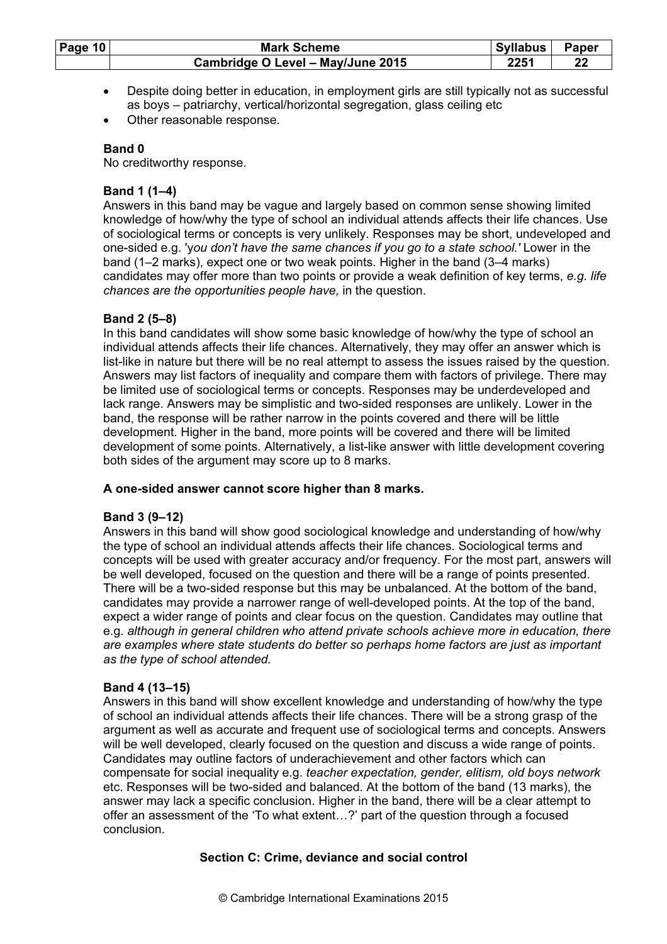| Page $10$ | <b>Mark Scheme</b>                | <b>Syllabus</b>     | Paper |
|-----------|-----------------------------------|---------------------|-------|
|           | Cambridge O Level - May/June 2015 | ワクスイ<br><u>LLJ.</u> | 22    |

- Despite doing better in education, in employment girls are still typically not as successful as boys – patriarchy, vertical/horizontal segregation, glass ceiling etc
- Other reasonable response.

No creditworthy response.

## Band 1 (1–4)

Answers in this band may be vague and largely based on common sense showing limited knowledge of how/why the type of school an individual attends affects their life chances. Use of sociological terms or concepts is very unlikely. Responses may be short, undeveloped and one-sided e.g. 'you don't have the same chances if you go to a state school.' Lower in the band (1–2 marks), expect one or two weak points. Higher in the band (3–4 marks) candidates may offer more than two points or provide a weak definition of key terms, e.g. life chances are the opportunities people have, in the question.

## Band 2 (5–8)

In this band candidates will show some basic knowledge of how/why the type of school an individual attends affects their life chances. Alternatively, they may offer an answer which is list-like in nature but there will be no real attempt to assess the issues raised by the question. Answers may list factors of inequality and compare them with factors of privilege. There may be limited use of sociological terms or concepts. Responses may be underdeveloped and lack range. Answers may be simplistic and two-sided responses are unlikely. Lower in the band, the response will be rather narrow in the points covered and there will be little development. Higher in the band, more points will be covered and there will be limited development of some points. Alternatively, a list-like answer with little development covering both sides of the argument may score up to 8 marks.

## A one-sided answer cannot score higher than 8 marks.

## Band 3 (9–12)

Answers in this band will show good sociological knowledge and understanding of how/why the type of school an individual attends affects their life chances. Sociological terms and concepts will be used with greater accuracy and/or frequency. For the most part, answers will be well developed, focused on the question and there will be a range of points presented. There will be a two-sided response but this may be unbalanced. At the bottom of the band, candidates may provide a narrower range of well-developed points. At the top of the band, expect a wider range of points and clear focus on the question. Candidates may outline that e.g. although in general children who attend private schools achieve more in education, there are examples where state students do better so perhaps home factors are just as important as the type of school attended.

## Band 4 (13–15)

Answers in this band will show excellent knowledge and understanding of how/why the type of school an individual attends affects their life chances. There will be a strong grasp of the argument as well as accurate and frequent use of sociological terms and concepts. Answers will be well developed, clearly focused on the question and discuss a wide range of points. Candidates may outline factors of underachievement and other factors which can compensate for social inequality e.g. teacher expectation, gender, elitism, old boys network etc. Responses will be two-sided and balanced. At the bottom of the band (13 marks), the answer may lack a specific conclusion. Higher in the band, there will be a clear attempt to offer an assessment of the 'To what extent…?' part of the question through a focused conclusion.

## Section C: Crime, deviance and social control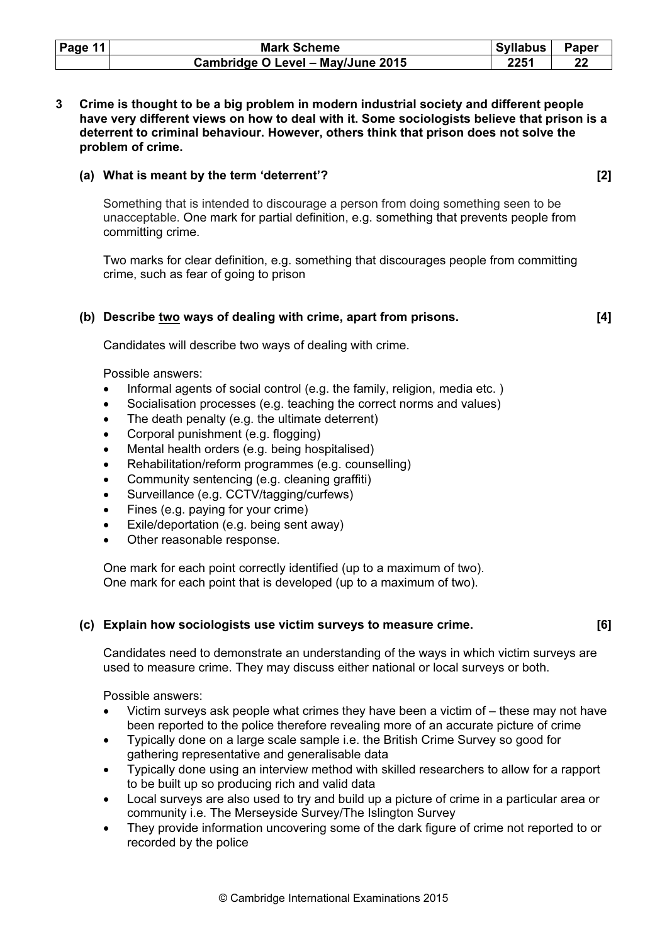| Page 11 | <b>Mark Scheme</b>                | <b>Syllabus</b> | Paper |
|---------|-----------------------------------|-----------------|-------|
|         | Cambridge O Level - May/June 2015 | 2251            |       |

3 Crime is thought to be a big problem in modern industrial society and different people have very different views on how to deal with it. Some sociologists believe that prison is a deterrent to criminal behaviour. However, others think that prison does not solve the problem of crime.

## (a) What is meant by the term 'deterrent'? [2]

 Something that is intended to discourage a person from doing something seen to be unacceptable. One mark for partial definition, e.g. something that prevents people from committing crime.

 Two marks for clear definition, e.g. something that discourages people from committing crime, such as fear of going to prison

#### (b) Describe two ways of dealing with crime, apart from prisons. [4]

Candidates will describe two ways of dealing with crime.

Possible answers:

- Informal agents of social control (e.g. the family, religion, media etc.)
- Socialisation processes (e.g. teaching the correct norms and values)
- The death penalty (e.g. the ultimate deterrent)
- Corporal punishment (e.g. flogging)
- Mental health orders (e.g. being hospitalised)
- Rehabilitation/reform programmes (e.g. counselling)
- Community sentencing (e.g. cleaning graffiti)
- Surveillance (e.g. CCTV/tagging/curfews)
- Fines (e.g. paying for your crime)
- Exile/deportation (e.g. being sent away)
- Other reasonable response.

 One mark for each point correctly identified (up to a maximum of two). One mark for each point that is developed (up to a maximum of two).

## (c) Explain how sociologists use victim surveys to measure crime. [6]

Candidates need to demonstrate an understanding of the ways in which victim surveys are used to measure crime. They may discuss either national or local surveys or both.

- Victim surveys ask people what crimes they have been a victim of these may not have been reported to the police therefore revealing more of an accurate picture of crime
- Typically done on a large scale sample i.e. the British Crime Survey so good for gathering representative and generalisable data
- Typically done using an interview method with skilled researchers to allow for a rapport to be built up so producing rich and valid data
- Local surveys are also used to try and build up a picture of crime in a particular area or community i.e. The Merseyside Survey/The Islington Survey
- They provide information uncovering some of the dark figure of crime not reported to or recorded by the police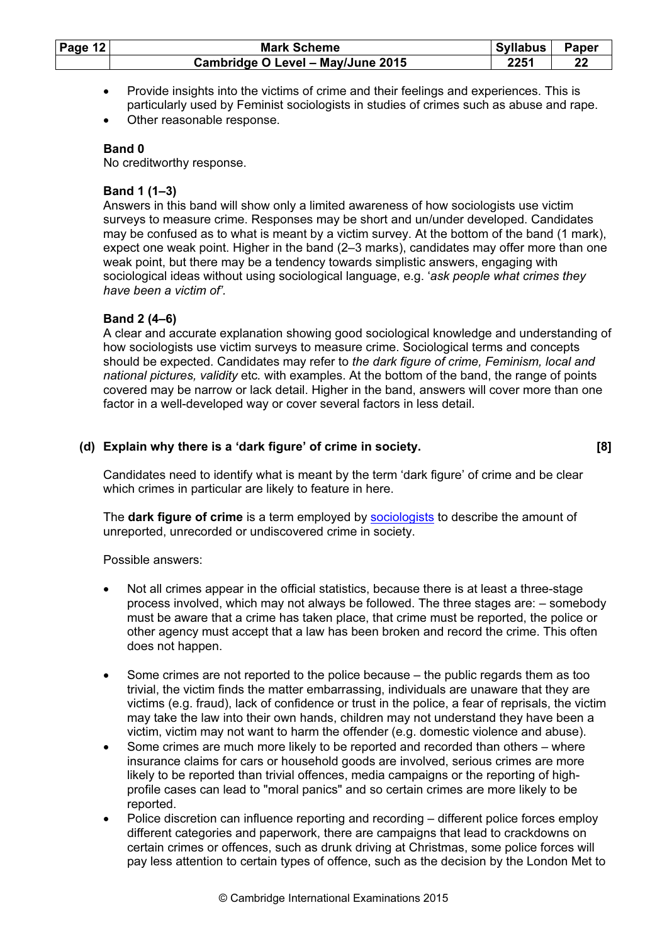| Page $12$ | <b>Mark Scheme</b>                | <b>Syllabus</b> | Paper   |
|-----------|-----------------------------------|-----------------|---------|
|           | Cambridge O Level - May/June 2015 | ククスイ<br>LLJ 1   | $22 \,$ |

- Provide insights into the victims of crime and their feelings and experiences. This is particularly used by Feminist sociologists in studies of crimes such as abuse and rape.
- Other reasonable response.

No creditworthy response.

## Band 1 (1–3)

Answers in this band will show only a limited awareness of how sociologists use victim surveys to measure crime. Responses may be short and un/under developed. Candidates may be confused as to what is meant by a victim survey. At the bottom of the band (1 mark), expect one weak point. Higher in the band (2–3 marks), candidates may offer more than one weak point, but there may be a tendency towards simplistic answers, engaging with sociological ideas without using sociological language, e.g. 'ask people what crimes they have been a victim of'.

## Band 2 (4–6)

A clear and accurate explanation showing good sociological knowledge and understanding of how sociologists use victim surveys to measure crime. Sociological terms and concepts should be expected. Candidates may refer to the dark figure of crime, Feminism, local and national pictures, validity etc. with examples. At the bottom of the band, the range of points covered may be narrow or lack detail. Higher in the band, answers will cover more than one factor in a well-developed way or cover several factors in less detail.

## (d) Explain why there is a 'dark figure' of crime in society. [8]

Candidates need to identify what is meant by the term 'dark figure' of crime and be clear which crimes in particular are likely to feature in here.

The dark figure of crime is a term employed by sociologists to describe the amount of unreported, unrecorded or undiscovered crime in society.

- Not all crimes appear in the official statistics, because there is at least a three-stage process involved, which may not always be followed. The three stages are: – somebody must be aware that a crime has taken place, that crime must be reported, the police or other agency must accept that a law has been broken and record the crime. This often does not happen.
- Some crimes are not reported to the police because the public regards them as too trivial, the victim finds the matter embarrassing, individuals are unaware that they are victims (e.g. fraud), lack of confidence or trust in the police, a fear of reprisals, the victim may take the law into their own hands, children may not understand they have been a victim, victim may not want to harm the offender (e.g. domestic violence and abuse).
- Some crimes are much more likely to be reported and recorded than others where insurance claims for cars or household goods are involved, serious crimes are more likely to be reported than trivial offences, media campaigns or the reporting of highprofile cases can lead to "moral panics" and so certain crimes are more likely to be reported.
- Police discretion can influence reporting and recording different police forces employ different categories and paperwork, there are campaigns that lead to crackdowns on certain crimes or offences, such as drunk driving at Christmas, some police forces will pay less attention to certain types of offence, such as the decision by the London Met to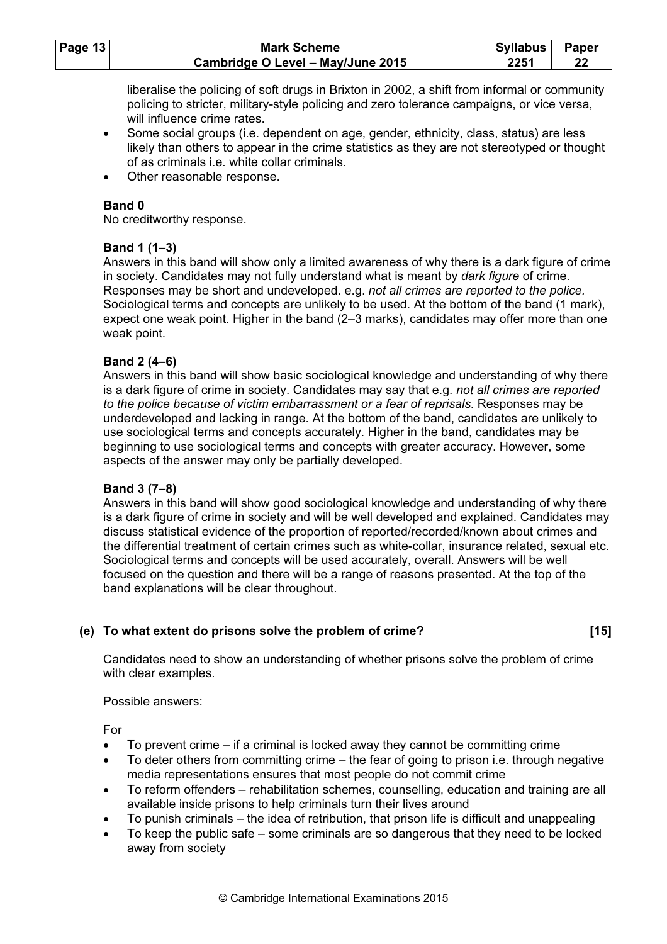| Page $13$ | <b>Mark Scheme</b>                | Syllabus | Paper |
|-----------|-----------------------------------|----------|-------|
|           | Cambridge O Level - May/June 2015 | 2251     |       |

liberalise the policing of soft drugs in Brixton in 2002, a shift from informal or community policing to stricter, military-style policing and zero tolerance campaigns, or vice versa, will influence crime rates.

- Some social groups (i.e. dependent on age, gender, ethnicity, class, status) are less likely than others to appear in the crime statistics as they are not stereotyped or thought of as criminals i.e. white collar criminals.
- Other reasonable response.

## Band 0

No creditworthy response.

## Band 1 (1–3)

Answers in this band will show only a limited awareness of why there is a dark figure of crime in society. Candidates may not fully understand what is meant by dark figure of crime. Responses may be short and undeveloped. e.g. not all crimes are reported to the police. Sociological terms and concepts are unlikely to be used. At the bottom of the band (1 mark), expect one weak point. Higher in the band (2–3 marks), candidates may offer more than one weak point.

## Band 2 (4–6)

Answers in this band will show basic sociological knowledge and understanding of why there is a dark figure of crime in society. Candidates may say that e.g. not all crimes are reported to the police because of victim embarrassment or a fear of reprisals. Responses may be underdeveloped and lacking in range. At the bottom of the band, candidates are unlikely to use sociological terms and concepts accurately. Higher in the band, candidates may be beginning to use sociological terms and concepts with greater accuracy. However, some aspects of the answer may only be partially developed.

## Band 3 (7–8)

Answers in this band will show good sociological knowledge and understanding of why there is a dark figure of crime in society and will be well developed and explained. Candidates may discuss statistical evidence of the proportion of reported/recorded/known about crimes and the differential treatment of certain crimes such as white-collar, insurance related, sexual etc. Sociological terms and concepts will be used accurately, overall. Answers will be well focused on the question and there will be a range of reasons presented. At the top of the band explanations will be clear throughout.

## (e) To what extent do prisons solve the problem of crime? [15]

Candidates need to show an understanding of whether prisons solve the problem of crime with clear examples.

Possible answers:

For

- To prevent crime if a criminal is locked away they cannot be committing crime
- To deter others from committing crime the fear of going to prison i.e. through negative media representations ensures that most people do not commit crime
- To reform offenders rehabilitation schemes, counselling, education and training are all available inside prisons to help criminals turn their lives around
- To punish criminals the idea of retribution, that prison life is difficult and unappealing
- To keep the public safe some criminals are so dangerous that they need to be locked away from society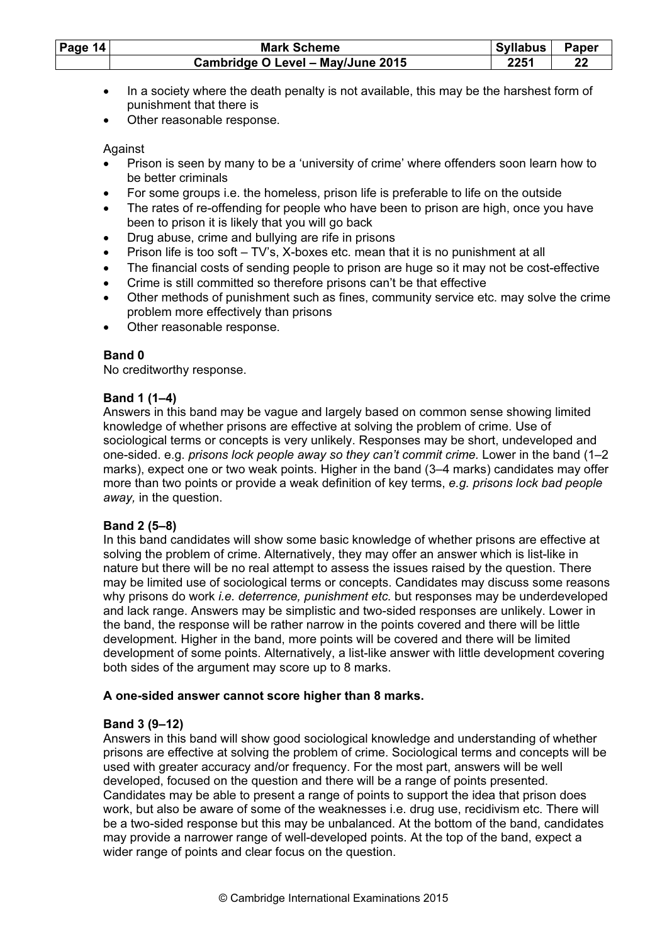| Page 14 | <b>Mark Scheme</b>                | <b>Syllabus</b> | <b>Paper</b> |
|---------|-----------------------------------|-----------------|--------------|
|         | Cambridge O Level - May/June 2015 | 2251            |              |

- In a society where the death penalty is not available, this may be the harshest form of punishment that there is
- Other reasonable response.

Against

- Prison is seen by many to be a 'university of crime' where offenders soon learn how to be better criminals
- For some groups i.e. the homeless, prison life is preferable to life on the outside
- The rates of re-offending for people who have been to prison are high, once you have been to prison it is likely that you will go back
- Drug abuse, crime and bullying are rife in prisons
- Prison life is too soft TV's, X-boxes etc. mean that it is no punishment at all
- The financial costs of sending people to prison are huge so it may not be cost-effective
- Crime is still committed so therefore prisons can't be that effective
- Other methods of punishment such as fines, community service etc. may solve the crime problem more effectively than prisons
- Other reasonable response.

## Band 0

No creditworthy response.

## Band 1 (1–4)

Answers in this band may be vague and largely based on common sense showing limited knowledge of whether prisons are effective at solving the problem of crime. Use of sociological terms or concepts is very unlikely. Responses may be short, undeveloped and one-sided. e.g. prisons lock people away so they can't commit crime. Lower in the band (1–2 marks), expect one or two weak points. Higher in the band (3–4 marks) candidates may offer more than two points or provide a weak definition of key terms, e.g. prisons lock bad people away, in the question.

## Band 2 (5–8)

In this band candidates will show some basic knowledge of whether prisons are effective at solving the problem of crime. Alternatively, they may offer an answer which is list-like in nature but there will be no real attempt to assess the issues raised by the question. There may be limited use of sociological terms or concepts. Candidates may discuss some reasons why prisons do work *i.e. deterrence, punishment etc.* but responses may be underdeveloped and lack range. Answers may be simplistic and two-sided responses are unlikely. Lower in the band, the response will be rather narrow in the points covered and there will be little development. Higher in the band, more points will be covered and there will be limited development of some points. Alternatively, a list-like answer with little development covering both sides of the argument may score up to 8 marks.

## A one-sided answer cannot score higher than 8 marks.

## Band 3 (9–12)

Answers in this band will show good sociological knowledge and understanding of whether prisons are effective at solving the problem of crime. Sociological terms and concepts will be used with greater accuracy and/or frequency. For the most part, answers will be well developed, focused on the question and there will be a range of points presented. Candidates may be able to present a range of points to support the idea that prison does work, but also be aware of some of the weaknesses i.e. drug use, recidivism etc. There will be a two-sided response but this may be unbalanced. At the bottom of the band, candidates may provide a narrower range of well-developed points. At the top of the band, expect a wider range of points and clear focus on the question.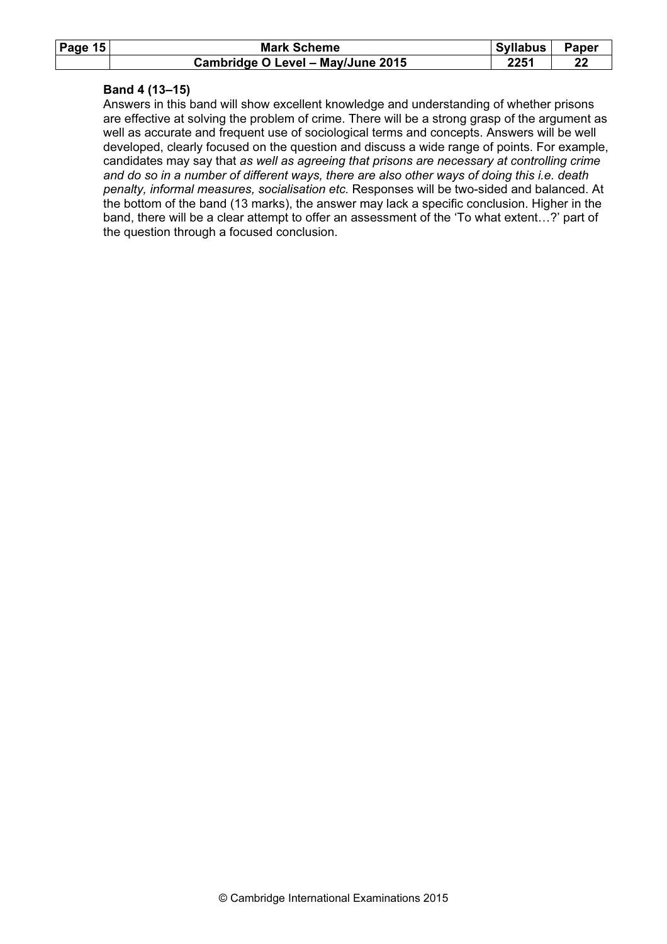| Page $15$ | <b>Mark Scheme</b>                | Syllabus | <b>Paper</b> |
|-----------|-----------------------------------|----------|--------------|
|           | Cambridge O Level - May/June 2015 | 2251     |              |

#### Band 4 (13–15)

Answers in this band will show excellent knowledge and understanding of whether prisons are effective at solving the problem of crime. There will be a strong grasp of the argument as well as accurate and frequent use of sociological terms and concepts. Answers will be well developed, clearly focused on the question and discuss a wide range of points. For example, candidates may say that as well as agreeing that prisons are necessary at controlling crime and do so in a number of different ways, there are also other ways of doing this i.e. death penalty, informal measures, socialisation etc. Responses will be two-sided and balanced. At the bottom of the band (13 marks), the answer may lack a specific conclusion. Higher in the band, there will be a clear attempt to offer an assessment of the 'To what extent…?' part of the question through a focused conclusion.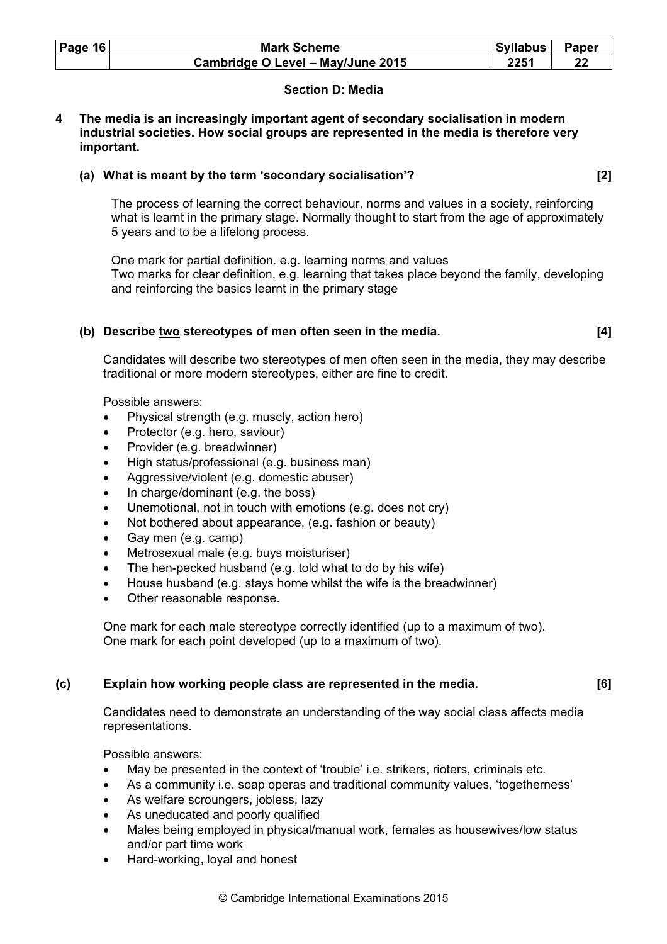| Page $16$ | <b>Mark Scheme</b>                | Syllabus | Paper |
|-----------|-----------------------------------|----------|-------|
|           | Cambridge O Level - May/June 2015 | 2251     | 22    |

## Section D: Media

#### 4 The media is an increasingly important agent of secondary socialisation in modern industrial societies. How social groups are represented in the media is therefore very important.

## (a) What is meant by the term 'secondary socialisation'? [2]

The process of learning the correct behaviour, norms and values in a society, reinforcing what is learnt in the primary stage. Normally thought to start from the age of approximately 5 years and to be a lifelong process.

One mark for partial definition. e.g. learning norms and values Two marks for clear definition, e.g. learning that takes place beyond the family, developing and reinforcing the basics learnt in the primary stage

## (b) Describe two stereotypes of men often seen in the media. [4]

Candidates will describe two stereotypes of men often seen in the media, they may describe traditional or more modern stereotypes, either are fine to credit.

Possible answers:

- Physical strength (e.g. muscly, action hero)
- Protector (e.g. hero, saviour)
- Provider (e.g. breadwinner)
- High status/professional (e.g. business man)
- Aggressive/violent (e.g. domestic abuser)
- In charge/dominant (e.g. the boss)
- Unemotional, not in touch with emotions (e.g. does not cry)
- Not bothered about appearance, (e.g. fashion or beauty)
- Gay men (e.g. camp)
- Metrosexual male (e.g. buys moisturiser)
- The hen-pecked husband (e.g. told what to do by his wife)
- House husband (e.g. stays home whilst the wife is the breadwinner)
- Other reasonable response.

One mark for each male stereotype correctly identified (up to a maximum of two). One mark for each point developed (up to a maximum of two).

## (c) Explain how working people class are represented in the media. [6]

Candidates need to demonstrate an understanding of the way social class affects media representations.

- May be presented in the context of 'trouble' i.e. strikers, rioters, criminals etc.
- As a community i.e. soap operas and traditional community values, 'togetherness'
- As welfare scroungers, jobless, lazy
- As uneducated and poorly qualified
- Males being employed in physical/manual work, females as housewives/low status and/or part time work
- Hard-working, loyal and honest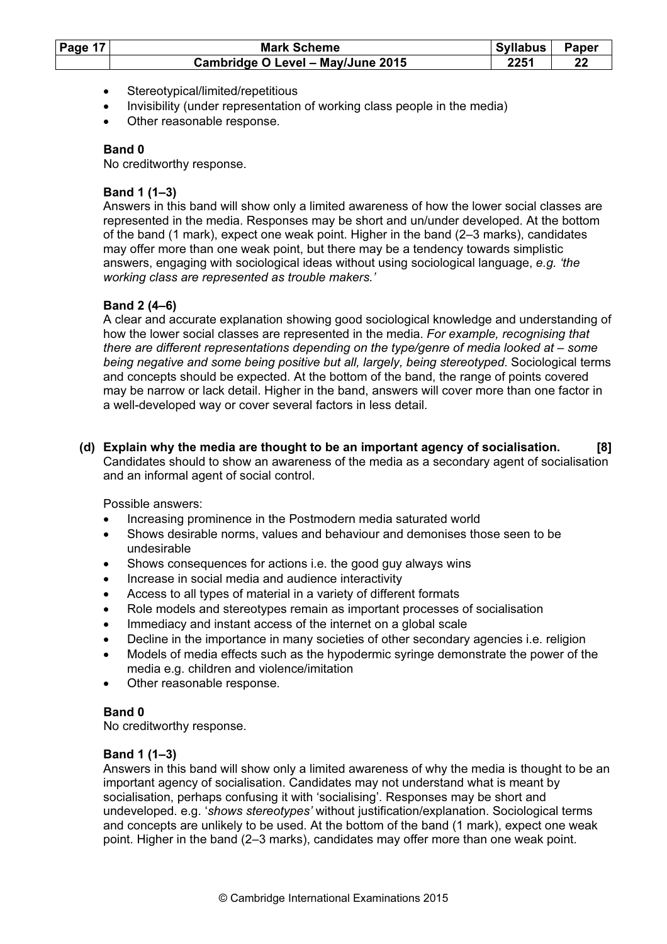| Page 17 | <b>Mark Scheme</b>                |      | Paper |
|---------|-----------------------------------|------|-------|
|         | Cambridge O Level - May/June 2015 | 2251 | ŋ.    |

- Stereotypical/limited/repetitious
- Invisibility (under representation of working class people in the media)
- Other reasonable response.

No creditworthy response.

## Band 1 (1–3)

Answers in this band will show only a limited awareness of how the lower social classes are represented in the media. Responses may be short and un/under developed. At the bottom of the band (1 mark), expect one weak point. Higher in the band (2–3 marks), candidates may offer more than one weak point, but there may be a tendency towards simplistic answers, engaging with sociological ideas without using sociological language, e.g. 'the working class are represented as trouble makers.'

## Band 2 (4–6)

A clear and accurate explanation showing good sociological knowledge and understanding of how the lower social classes are represented in the media. For example, recognising that there are different representations depending on the type/genre of media looked at – some being negative and some being positive but all, largely, being stereotyped. Sociological terms and concepts should be expected. At the bottom of the band, the range of points covered may be narrow or lack detail. Higher in the band, answers will cover more than one factor in a well-developed way or cover several factors in less detail.

 (d) Explain why the media are thought to be an important agency of socialisation. [8] Candidates should to show an awareness of the media as a secondary agent of socialisation and an informal agent of social control.

Possible answers:

- Increasing prominence in the Postmodern media saturated world
- Shows desirable norms, values and behaviour and demonises those seen to be undesirable
- Shows consequences for actions i.e. the good guy always wins
- Increase in social media and audience interactivity
- Access to all types of material in a variety of different formats
- Role models and stereotypes remain as important processes of socialisation
- Immediacy and instant access of the internet on a global scale
- Decline in the importance in many societies of other secondary agencies i.e. religion
- Models of media effects such as the hypodermic syringe demonstrate the power of the media e.g. children and violence/imitation
- Other reasonable response.

## Band 0

No creditworthy response.

## Band 1 (1–3)

Answers in this band will show only a limited awareness of why the media is thought to be an important agency of socialisation. Candidates may not understand what is meant by socialisation, perhaps confusing it with 'socialising'. Responses may be short and undeveloped. e.g. 'shows stereotypes' without justification/explanation. Sociological terms and concepts are unlikely to be used. At the bottom of the band (1 mark), expect one weak point. Higher in the band (2–3 marks), candidates may offer more than one weak point.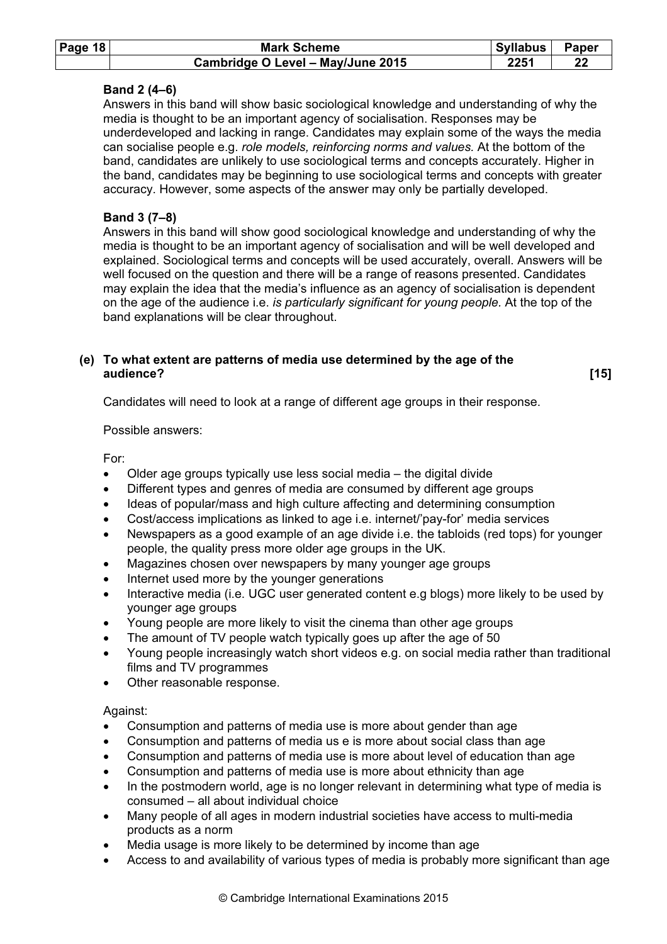| Page $18$ | <b>Mark Scheme</b>                | <b>Syllabus</b> | Paper |
|-----------|-----------------------------------|-----------------|-------|
|           | Cambridge O Level - May/June 2015 | 2251            | 22    |

## Band 2 (4–6)

Answers in this band will show basic sociological knowledge and understanding of why the media is thought to be an important agency of socialisation. Responses may be underdeveloped and lacking in range. Candidates may explain some of the ways the media can socialise people e.g. role models, reinforcing norms and values. At the bottom of the band, candidates are unlikely to use sociological terms and concepts accurately. Higher in the band, candidates may be beginning to use sociological terms and concepts with greater accuracy. However, some aspects of the answer may only be partially developed.

## Band 3 (7–8)

Answers in this band will show good sociological knowledge and understanding of why the media is thought to be an important agency of socialisation and will be well developed and explained. Sociological terms and concepts will be used accurately, overall. Answers will be well focused on the question and there will be a range of reasons presented. Candidates may explain the idea that the media's influence as an agency of socialisation is dependent on the age of the audience i.e. is particularly significant for young people. At the top of the band explanations will be clear throughout.

## (e) To what extent are patterns of media use determined by the age of the audience? [15]

Candidates will need to look at a range of different age groups in their response.

#### Possible answers:

For:

- Older age groups typically use less social media the digital divide
- Different types and genres of media are consumed by different age groups
- Ideas of popular/mass and high culture affecting and determining consumption
- Cost/access implications as linked to age i.e. internet/'pay-for' media services
- Newspapers as a good example of an age divide i.e. the tabloids (red tops) for younger people, the quality press more older age groups in the UK.
- Magazines chosen over newspapers by many younger age groups
- Internet used more by the younger generations
- Interactive media (i.e. UGC user generated content e.g blogs) more likely to be used by younger age groups
- Young people are more likely to visit the cinema than other age groups
- The amount of TV people watch typically goes up after the age of 50
- Young people increasingly watch short videos e.g. on social media rather than traditional films and TV programmes
- Other reasonable response.

## Against:

- Consumption and patterns of media use is more about gender than age
- Consumption and patterns of media us e is more about social class than age
- Consumption and patterns of media use is more about level of education than age
- Consumption and patterns of media use is more about ethnicity than age
- In the postmodern world, age is no longer relevant in determining what type of media is consumed – all about individual choice
- Many people of all ages in modern industrial societies have access to multi-media products as a norm
- Media usage is more likely to be determined by income than age
- Access to and availability of various types of media is probably more significant than age